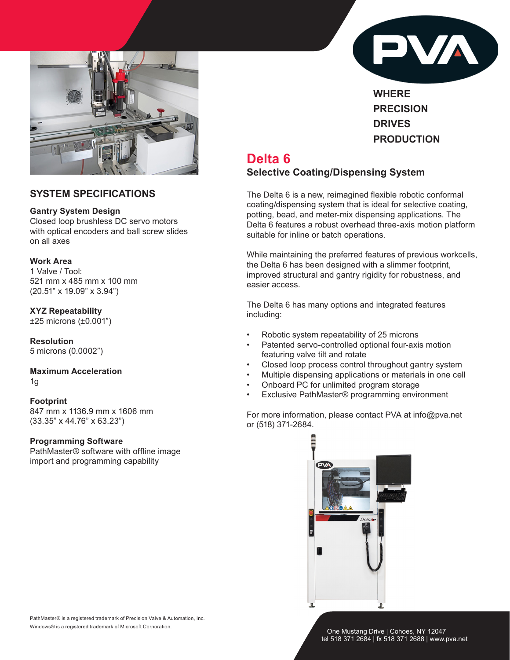

## **SYSTEM SPECIFICATIONS**

#### **Gantry System Design**

Closed loop brushless DC servo motors with optical encoders and ball screw slides on all axes

#### **Work Area**

1 Valve / Tool: 521 mm x 485 mm x 100 mm (20.51" x 19.09" x 3.94")

**XYZ Repeatability** ±25 microns (±0.001")

**Resolution** 5 microns (0.0002")

**Maximum Acceleration** 1g

**Footprint** 847 mm x 1136.9 mm x 1606 mm (33.35" x 44.76" x 63.23")

### **Programming Software**

PathMaster® software with offline image import and programming capability



**WHERE PRECISION DRIVES PRODUCTION**

# **Delta 6 Selective Coating/Dispensing System**

The Delta 6 is a new, reimagined flexible robotic conformal coating/dispensing system that is ideal for selective coating, potting, bead, and meter-mix dispensing applications. The Delta 6 features a robust overhead three-axis motion platform suitable for inline or batch operations.

While maintaining the preferred features of previous workcells, the Delta 6 has been designed with a slimmer footprint, improved structural and gantry rigidity for robustness, and easier access.

The Delta 6 has many options and integrated features including:

- Robotic system repeatability of 25 microns
- Patented servo-controlled optional four-axis motion featuring valve tilt and rotate
- Closed loop process control throughout gantry system
- Multiple dispensing applications or materials in one cell
- Onboard PC for unlimited program storage
- Exclusive PathMaster® programming environment

For more information, please contact PVA at info@pva.net or (518) 371-2684.



PathMaster® is a registered trademark of Precision Valve & Automation, Inc. Windows® is a registered trademark of Microsoft Corporation.

 One Mustang Drive | Cohoes, NY 12047 tel 518 371 2684 | fx 518 371 2688 | www.pva.net